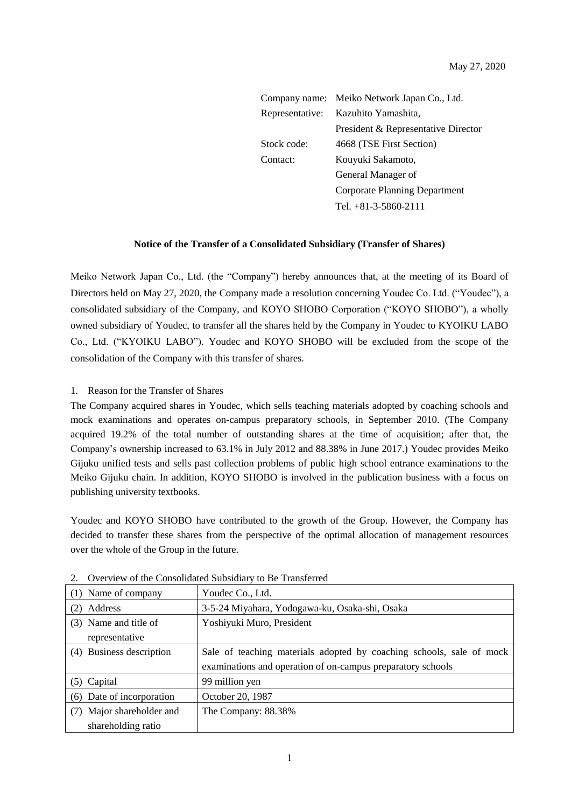| Company name:   | Meiko Network Japan Co., Ltd.       |
|-----------------|-------------------------------------|
| Representative: | Kazuhito Yamashita,                 |
|                 | President & Representative Director |
| Stock code:     | 4668 (TSE First Section)            |
| Contact:        | Kouyuki Sakamoto,                   |
|                 | General Manager of                  |
|                 | Corporate Planning Department       |
|                 | Tel. $+81-3-5860-2111$              |

#### **Notice of the Transfer of a Consolidated Subsidiary (Transfer of Shares)**

Meiko Network Japan Co., Ltd. (the "Company") hereby announces that, at the meeting of its Board of Directors held on May 27, 2020, the Company made a resolution concerning Youdec Co. Ltd. ("Youdec"), a consolidated subsidiary of the Company, and KOYO SHOBO Corporation ("KOYO SHOBO"), a wholly owned subsidiary of Youdec, to transfer all the shares held by the Company in Youdec to KYOIKU LABO Co., Ltd. ("KYOIKU LABO"). Youdec and KOYO SHOBO will be excluded from the scope of the consolidation of the Company with this transfer of shares.

### 1. Reason for the Transfer of Shares

The Company acquired shares in Youdec, which sells teaching materials adopted by coaching schools and mock examinations and operates on-campus preparatory schools, in September 2010. (The Company acquired 19.2% of the total number of outstanding shares at the time of acquisition; after that, the Company's ownership increased to 63.1% in July 2012 and 88.38% in June 2017.) Youdec provides Meiko Gijuku unified tests and sells past collection problems of public high school entrance examinations to the Meiko Gijuku chain. In addition, KOYO SHOBO is involved in the publication business with a focus on publishing university textbooks.

Youdec and KOYO SHOBO have contributed to the growth of the Group. However, the Company has decided to transfer these shares from the perspective of the optimal allocation of management resources over the whole of the Group in the future.

| (1) Name of company       | Youdec Co., Ltd.                                                     |
|---------------------------|----------------------------------------------------------------------|
| Address                   | 3-5-24 Miyahara, Yodogawa-ku, Osaka-shi, Osaka                       |
| (3) Name and title of     | Yoshiyuki Muro, President                                            |
| representative            |                                                                      |
| (4) Business description  | Sale of teaching materials adopted by coaching schools, sale of mock |
|                           | examinations and operation of on-campus preparatory schools          |
| (5) Capital               | 99 million yen                                                       |
| (6) Date of incorporation | October 20, 1987                                                     |
| (7) Major shareholder and | The Company: 88.38%                                                  |
| shareholding ratio        |                                                                      |

2. Overview of the Consolidated Subsidiary to Be Transferred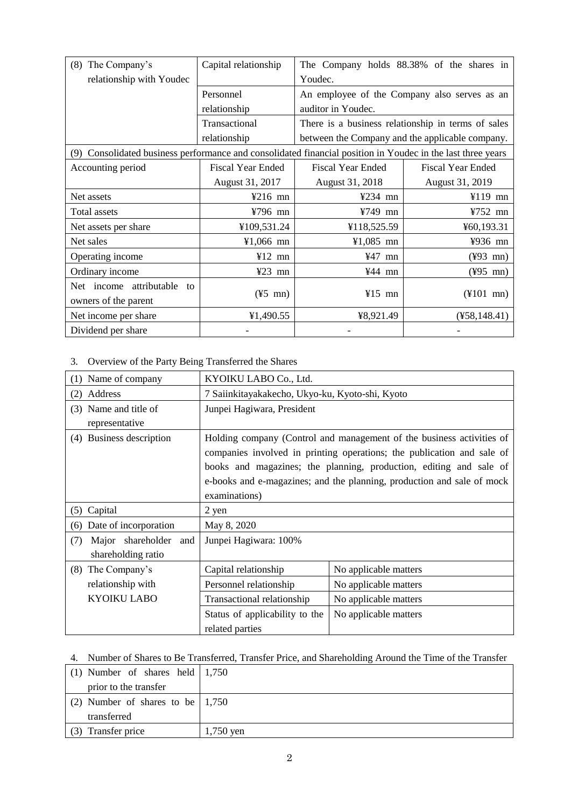| The Company's<br>(8)                                                                                        | Capital relationship     |                          | The Company holds 88.38% of the shares in          |
|-------------------------------------------------------------------------------------------------------------|--------------------------|--------------------------|----------------------------------------------------|
| relationship with Youdec                                                                                    |                          | Youdec.                  |                                                    |
|                                                                                                             | Personnel                |                          | An employee of the Company also serves as an       |
|                                                                                                             | relationship             | auditor in Youdec.       |                                                    |
|                                                                                                             | Transactional            |                          | There is a business relationship in terms of sales |
|                                                                                                             | relationship             |                          | between the Company and the applicable company.    |
| (9) Consolidated business performance and consolidated financial position in Youdec in the last three years |                          |                          |                                                    |
| Accounting period                                                                                           | <b>Fiscal Year Ended</b> | <b>Fiscal Year Ended</b> | <b>Fiscal Year Ended</b>                           |
|                                                                                                             | August 31, 2017          | August 31, 2018          | August 31, 2019                                    |
| Net assets                                                                                                  | ¥216 mn                  | ¥234 mn                  | $¥119$ mn                                          |
| Total assets                                                                                                | ¥796 mn                  | $¥749$ mn                | $4752$ mn                                          |
| Net assets per share                                                                                        | ¥109,531.24              | ¥118,525.59              | ¥60,193.31                                         |
| Net sales                                                                                                   | $¥1,066$ mn              | ¥1,085 mn                | ¥936 mn                                            |
| Operating income                                                                                            | $412$ mn                 | $¥47$ mn                 | $(\frac{493 \text{ mn}}{2})$                       |
| Ordinary income                                                                                             | $423$ mn                 | $444$ mn                 | $(\frac{495}{10})$                                 |
| attributable<br>Net income<br>to                                                                            |                          |                          |                                                    |
| owners of the parent                                                                                        | $(\frac{15}{5}$ mn)      | $415$ mn                 | $(\frac{1}{2}101 \text{ mn})$                      |
| Net income per share                                                                                        | ¥1,490.55                | ¥8,921.49                | $(*58,148.41)$                                     |
| Dividend per share                                                                                          |                          |                          |                                                    |

3. Overview of the Party Being Transferred the Shares

| (1) Name of company                                | KYOIKU LABO Co., Ltd.                             |                                                                                                                                                                                                                                                                                                 |
|----------------------------------------------------|---------------------------------------------------|-------------------------------------------------------------------------------------------------------------------------------------------------------------------------------------------------------------------------------------------------------------------------------------------------|
| Address<br>(2)                                     | 7 Saiinkitayakakecho, Ukyo-ku, Kyoto-shi, Kyoto   |                                                                                                                                                                                                                                                                                                 |
| (3) Name and title of<br>representative            | Junpei Hagiwara, President                        |                                                                                                                                                                                                                                                                                                 |
| (4) Business description                           | examinations)                                     | Holding company (Control and management of the business activities of<br>companies involved in printing operations; the publication and sale of<br>books and magazines; the planning, production, editing and sale of<br>e-books and e-magazines; and the planning, production and sale of mock |
| (5) Capital                                        | 2 yen                                             |                                                                                                                                                                                                                                                                                                 |
| Date of incorporation<br>(6)                       | May 8, 2020                                       |                                                                                                                                                                                                                                                                                                 |
| (7)<br>Major shareholder and<br>shareholding ratio | Junpei Hagiwara: 100%                             |                                                                                                                                                                                                                                                                                                 |
| (8)<br>The Company's                               | Capital relationship                              | No applicable matters                                                                                                                                                                                                                                                                           |
| relationship with                                  | Personnel relationship                            | No applicable matters                                                                                                                                                                                                                                                                           |
| <b>KYOIKU LABO</b>                                 | Transactional relationship                        | No applicable matters                                                                                                                                                                                                                                                                           |
|                                                    | Status of applicability to the<br>related parties | No applicable matters                                                                                                                                                                                                                                                                           |

# 4. Number of Shares to Be Transferred, Transfer Price, and Shareholding Around the Time of the Transfer

| $(1)$ Number of shares held $ 1,750$    |             |
|-----------------------------------------|-------------|
| prior to the transfer                   |             |
| (2) Number of shares to be $\mid$ 1,750 |             |
| transferred                             |             |
| (3) Transfer price                      | $1,750$ yen |